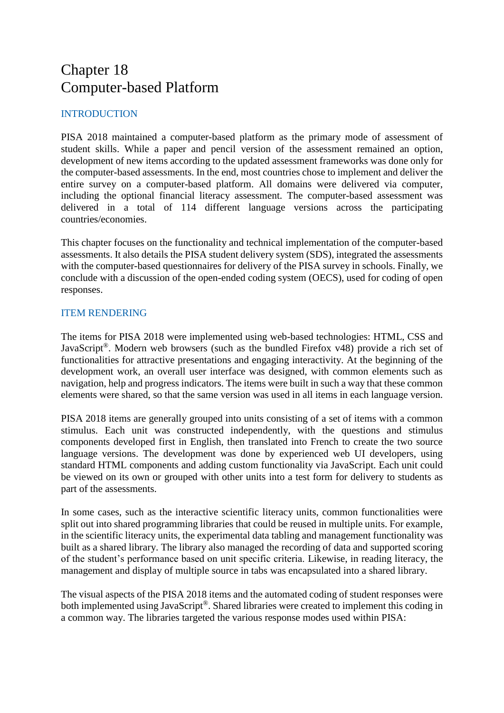# Chapter 18 Computer-based Platform

## INTRODUCTION

PISA 2018 maintained a computer-based platform as the primary mode of assessment of student skills. While a paper and pencil version of the assessment remained an option, development of new items according to the updated assessment frameworks was done only for the computer-based assessments. In the end, most countries chose to implement and deliver the entire survey on a computer-based platform. All domains were delivered via computer, including the optional financial literacy assessment. The computer-based assessment was delivered in a total of 114 different language versions across the participating countries/economies.

This chapter focuses on the functionality and technical implementation of the computer-based assessments. It also details the PISA student delivery system (SDS), integrated the assessments with the computer-based questionnaires for delivery of the PISA survey in schools. Finally, we conclude with a discussion of the open-ended coding system (OECS), used for coding of open responses.

## ITEM RENDERING

The items for PISA 2018 were implemented using web-based technologies: HTML, CSS and JavaScript®. Modern web browsers (such as the bundled Firefox v48) provide a rich set of functionalities for attractive presentations and engaging interactivity. At the beginning of the development work, an overall user interface was designed, with common elements such as navigation, help and progress indicators. The items were built in such a way that these common elements were shared, so that the same version was used in all items in each language version.

PISA 2018 items are generally grouped into units consisting of a set of items with a common stimulus. Each unit was constructed independently, with the questions and stimulus components developed first in English, then translated into French to create the two source language versions. The development was done by experienced web UI developers, using standard HTML components and adding custom functionality via JavaScript. Each unit could be viewed on its own or grouped with other units into a test form for delivery to students as part of the assessments.

In some cases, such as the interactive scientific literacy units, common functionalities were split out into shared programming libraries that could be reused in multiple units. For example, in the scientific literacy units, the experimental data tabling and management functionality was built as a shared library. The library also managed the recording of data and supported scoring of the student's performance based on unit specific criteria. Likewise, in reading literacy, the management and display of multiple source in tabs was encapsulated into a shared library.

The visual aspects of the PISA 2018 items and the automated coding of student responses were both implemented using JavaScript®. Shared libraries were created to implement this coding in a common way. The libraries targeted the various response modes used within PISA: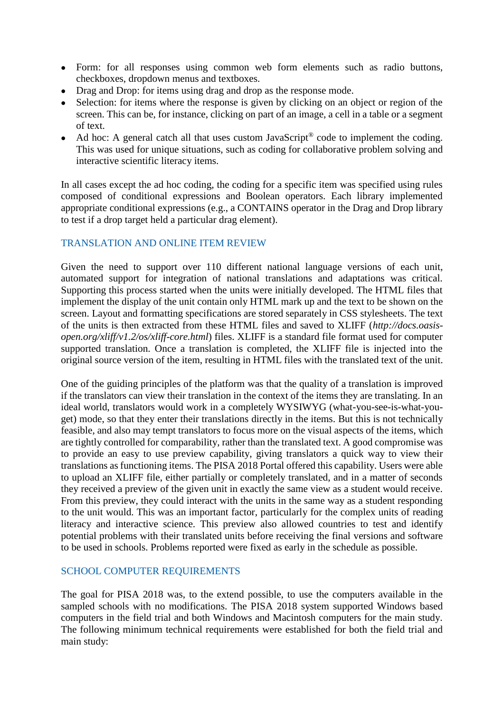- Form: for all responses using common web form elements such as radio buttons, checkboxes, dropdown menus and textboxes.
- Drag and Drop: for items using drag and drop as the response mode.
- Selection: for items where the response is given by clicking on an object or region of the screen. This can be, for instance, clicking on part of an image, a cell in a table or a segment of text.
- Ad hoc: A general catch all that uses custom JavaScript<sup>®</sup> code to implement the coding. This was used for unique situations, such as coding for collaborative problem solving and interactive scientific literacy items.

In all cases except the ad hoc coding, the coding for a specific item was specified using rules composed of conditional expressions and Boolean operators. Each library implemented appropriate conditional expressions (e.g., a CONTAINS operator in the Drag and Drop library to test if a drop target held a particular drag element).

#### TRANSLATION AND ONLINE ITEM REVIEW

Given the need to support over 110 different national language versions of each unit, automated support for integration of national translations and adaptations was critical. Supporting this process started when the units were initially developed. The HTML files that implement the display of the unit contain only HTML mark up and the text to be shown on the screen. Layout and formatting specifications are stored separately in CSS stylesheets. The text of the units is then extracted from these HTML files and saved to XLIFF (*[http://docs.oasis](http://docs.oasis-open.org/xliff/v1.2/os/xliff-core.html)[open.org/xliff/v1.2/os/xliff-core.html](http://docs.oasis-open.org/xliff/v1.2/os/xliff-core.html)*) files. XLIFF is a standard file format used for computer supported translation. Once a translation is completed, the XLIFF file is injected into the original source version of the item, resulting in HTML files with the translated text of the unit.

One of the guiding principles of the platform was that the quality of a translation is improved if the translators can view their translation in the context of the items they are translating. In an ideal world, translators would work in a completely WYSIWYG (what-you-see-is-what-youget) mode, so that they enter their translations directly in the items. But this is not technically feasible, and also may tempt translators to focus more on the visual aspects of the items, which are tightly controlled for comparability, rather than the translated text. A good compromise was to provide an easy to use preview capability, giving translators a quick way to view their translations as functioning items. The PISA 2018 Portal offered this capability. Users were able to upload an XLIFF file, either partially or completely translated, and in a matter of seconds they received a preview of the given unit in exactly the same view as a student would receive. From this preview, they could interact with the units in the same way as a student responding to the unit would. This was an important factor, particularly for the complex units of reading literacy and interactive science. This preview also allowed countries to test and identify potential problems with their translated units before receiving the final versions and software to be used in schools. Problems reported were fixed as early in the schedule as possible.

#### SCHOOL COMPUTER REQUIREMENTS

The goal for PISA 2018 was, to the extend possible, to use the computers available in the sampled schools with no modifications. The PISA 2018 system supported Windows based computers in the field trial and both Windows and Macintosh computers for the main study. The following minimum technical requirements were established for both the field trial and main study: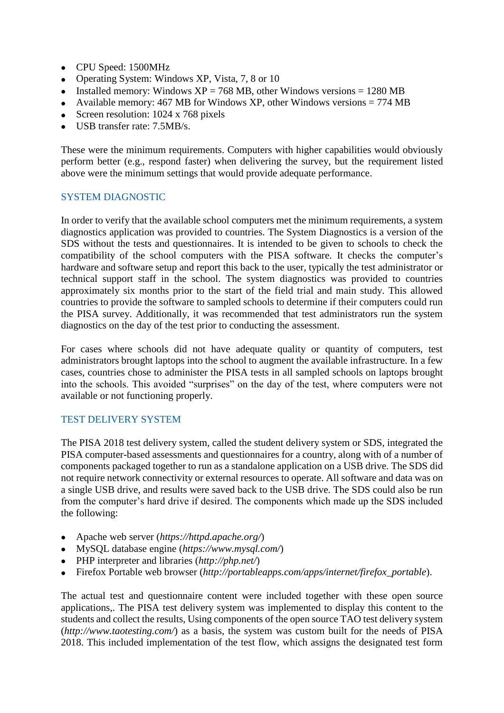- CPU Speed: 1500MHz
- Operating System: Windows XP, Vista, 7, 8 or 10
- Installed memory: Windows  $XP = 768 \text{ MB}$ , other Windows versions = 1280 MB
- Available memory: 467 MB for Windows XP, other Windows versions  $= 774$  MB
- Screen resolution: 1024 x 768 pixels
- USB transfer rate: 7.5MB/s.

These were the minimum requirements. Computers with higher capabilities would obviously perform better (e.g., respond faster) when delivering the survey, but the requirement listed above were the minimum settings that would provide adequate performance.

#### SYSTEM DIAGNOSTIC

In order to verify that the available school computers met the minimum requirements, a system diagnostics application was provided to countries. The System Diagnostics is a version of the SDS without the tests and questionnaires. It is intended to be given to schools to check the compatibility of the school computers with the PISA software. It checks the computer's hardware and software setup and report this back to the user, typically the test administrator or technical support staff in the school. The system diagnostics was provided to countries approximately six months prior to the start of the field trial and main study. This allowed countries to provide the software to sampled schools to determine if their computers could run the PISA survey. Additionally, it was recommended that test administrators run the system diagnostics on the day of the test prior to conducting the assessment.

For cases where schools did not have adequate quality or quantity of computers, test administrators brought laptops into the school to augment the available infrastructure. In a few cases, countries chose to administer the PISA tests in all sampled schools on laptops brought into the schools. This avoided "surprises" on the day of the test, where computers were not available or not functioning properly.

## TEST DELIVERY SYSTEM

The PISA 2018 test delivery system, called the student delivery system or SDS, integrated the PISA computer-based assessments and questionnaires for a country, along with of a number of components packaged together to run as a standalone application on a USB drive. The SDS did not require network connectivity or external resources to operate. All software and data was on a single USB drive, and results were saved back to the USB drive. The SDS could also be run from the computer's hard drive if desired. The components which made up the SDS included the following:

- Apache web server (*<https://httpd.apache.org/>*)
- MySQL database engine (*<https://www.mysql.com/>*)
- PHP interpreter and libraries (*<http://php.net/>*)
- Firefox Portable web browser (*[http://portableapps.com/apps/internet/firefox\\_portable](http://portableapps.com/apps/internet/firefox_portable)*).

The actual test and questionnaire content were included together with these open source applications,. The PISA test delivery system was implemented to display this content to the students and collect the results, Using components of the open source TAO test delivery system (*<http://www.taotesting.com/>*) as a basis, the system was custom built for the needs of PISA 2018. This included implementation of the test flow, which assigns the designated test form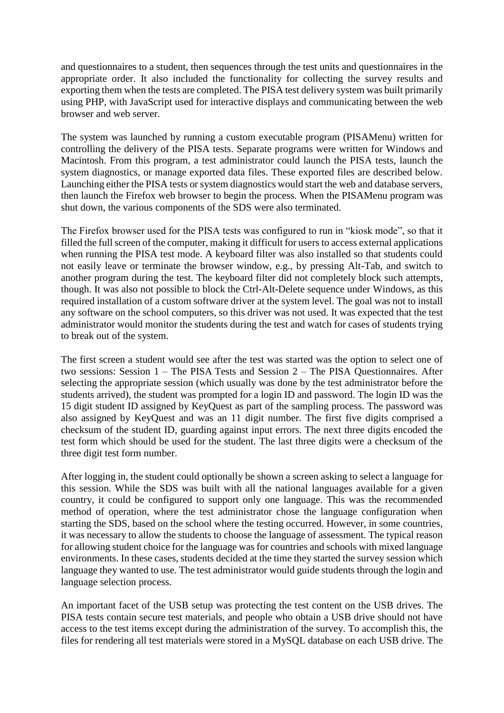and questionnaires to a student, then sequences through the test units and questionnaires in the appropriate order. It also included the functionality for collecting the survey results and exporting them when the tests are completed. The PISA test delivery system was built primarily using PHP, with JavaScript used for interactive displays and communicating between the web browser and web server.

The system was launched by running a custom executable program (PISAMenu) written for controlling the delivery of the PISA tests. Separate programs were written for Windows and Macintosh. From this program, a test administrator could launch the PISA tests, launch the system diagnostics, or manage exported data files. These exported files are described below. Launching either the PISA tests or system diagnostics would start the web and database servers, then launch the Firefox web browser to begin the process. When the PISAMenu program was shut down, the various components of the SDS were also terminated.

The Firefox browser used for the PISA tests was configured to run in "kiosk mode", so that it filled the full screen of the computer, making it difficult for users to access external applications when running the PISA test mode. A keyboard filter was also installed so that students could not easily leave or terminate the browser window, e.g., by pressing Alt-Tab, and switch to another program during the test. The keyboard filter did not completely block such attempts, though. It was also not possible to block the Ctrl-Alt-Delete sequence under Windows, as this required installation of a custom software driver at the system level. The goal was not to install any software on the school computers, so this driver was not used. It was expected that the test administrator would monitor the students during the test and watch for cases of students trying to break out of the system.

The first screen a student would see after the test was started was the option to select one of two sessions: Session 1 – The PISA Tests and Session 2 – The PISA Questionnaires. After selecting the appropriate session (which usually was done by the test administrator before the students arrived), the student was prompted for a login ID and password. The login ID was the 15 digit student ID assigned by KeyQuest as part of the sampling process. The password was also assigned by KeyQuest and was an 11 digit number. The first five digits comprised a checksum of the student ID, guarding against input errors. The next three digits encoded the test form which should be used for the student. The last three digits were a checksum of the three digit test form number.

After logging in, the student could optionally be shown a screen asking to select a language for this session. While the SDS was built with all the national languages available for a given country, it could be configured to support only one language. This was the recommended method of operation, where the test administrator chose the language configuration when starting the SDS, based on the school where the testing occurred. However, in some countries, it was necessary to allow the students to choose the language of assessment. The typical reason for allowing student choice for the language was for countries and schools with mixed language environments. In these cases, students decided at the time they started the survey session which language they wanted to use. The test administrator would guide students through the login and language selection process.

An important facet of the USB setup was protecting the test content on the USB drives. The PISA tests contain secure test materials, and people who obtain a USB drive should not have access to the test items except during the administration of the survey. To accomplish this, the files for rendering all test materials were stored in a MySQL database on each USB drive. The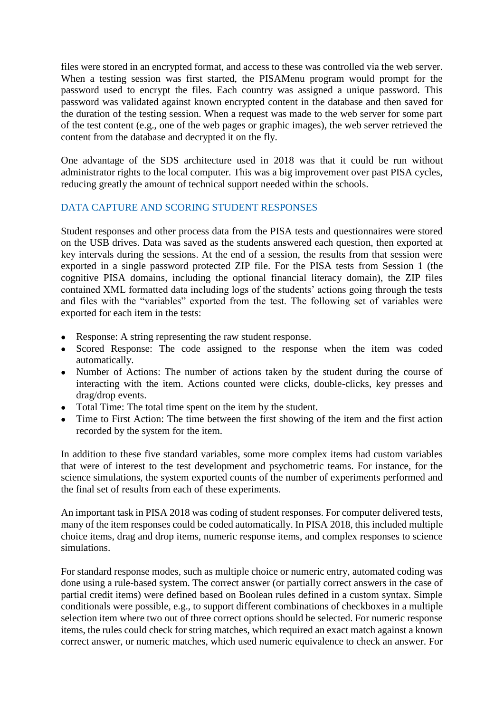files were stored in an encrypted format, and access to these was controlled via the web server. When a testing session was first started, the PISAMenu program would prompt for the password used to encrypt the files. Each country was assigned a unique password. This password was validated against known encrypted content in the database and then saved for the duration of the testing session. When a request was made to the web server for some part of the test content (e.g., one of the web pages or graphic images), the web server retrieved the content from the database and decrypted it on the fly.

One advantage of the SDS architecture used in 2018 was that it could be run without administrator rights to the local computer. This was a big improvement over past PISA cycles, reducing greatly the amount of technical support needed within the schools.

## DATA CAPTURE AND SCORING STUDENT RESPONSES

Student responses and other process data from the PISA tests and questionnaires were stored on the USB drives. Data was saved as the students answered each question, then exported at key intervals during the sessions. At the end of a session, the results from that session were exported in a single password protected ZIP file. For the PISA tests from Session 1 (the cognitive PISA domains, including the optional financial literacy domain), the ZIP files contained XML formatted data including logs of the students' actions going through the tests and files with the "variables" exported from the test. The following set of variables were exported for each item in the tests:

- Response: A string representing the raw student response.
- Scored Response: The code assigned to the response when the item was coded automatically.
- Number of Actions: The number of actions taken by the student during the course of interacting with the item. Actions counted were clicks, double-clicks, key presses and drag/drop events.
- Total Time: The total time spent on the item by the student.
- Time to First Action: The time between the first showing of the item and the first action recorded by the system for the item.

In addition to these five standard variables, some more complex items had custom variables that were of interest to the test development and psychometric teams. For instance, for the science simulations, the system exported counts of the number of experiments performed and the final set of results from each of these experiments.

An important task in PISA 2018 was coding of student responses. For computer delivered tests, many of the item responses could be coded automatically. In PISA 2018, this included multiple choice items, drag and drop items, numeric response items, and complex responses to science simulations.

For standard response modes, such as multiple choice or numeric entry, automated coding was done using a rule-based system. The correct answer (or partially correct answers in the case of partial credit items) were defined based on Boolean rules defined in a custom syntax. Simple conditionals were possible, e.g., to support different combinations of checkboxes in a multiple selection item where two out of three correct options should be selected. For numeric response items, the rules could check for string matches, which required an exact match against a known correct answer, or numeric matches, which used numeric equivalence to check an answer. For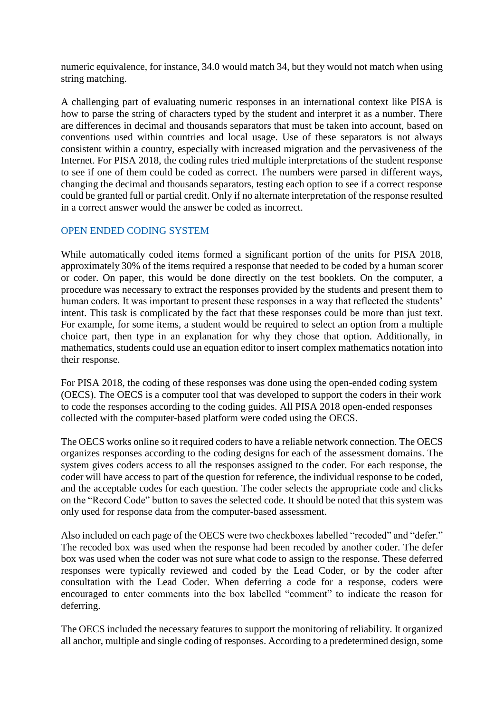numeric equivalence, for instance, 34.0 would match 34, but they would not match when using string matching.

A challenging part of evaluating numeric responses in an international context like PISA is how to parse the string of characters typed by the student and interpret it as a number. There are differences in decimal and thousands separators that must be taken into account, based on conventions used within countries and local usage. Use of these separators is not always consistent within a country, especially with increased migration and the pervasiveness of the Internet. For PISA 2018, the coding rules tried multiple interpretations of the student response to see if one of them could be coded as correct. The numbers were parsed in different ways, changing the decimal and thousands separators, testing each option to see if a correct response could be granted full or partial credit. Only if no alternate interpretation of the response resulted in a correct answer would the answer be coded as incorrect.

#### OPEN ENDED CODING SYSTEM

While automatically coded items formed a significant portion of the units for PISA 2018, approximately 30% of the items required a response that needed to be coded by a human scorer or coder. On paper, this would be done directly on the test booklets. On the computer, a procedure was necessary to extract the responses provided by the students and present them to human coders. It was important to present these responses in a way that reflected the students' intent. This task is complicated by the fact that these responses could be more than just text. For example, for some items, a student would be required to select an option from a multiple choice part, then type in an explanation for why they chose that option. Additionally, in mathematics, students could use an equation editor to insert complex mathematics notation into their response.

For PISA 2018, the coding of these responses was done using the open-ended coding system (OECS). The OECS is a computer tool that was developed to support the coders in their work to code the responses according to the coding guides. All PISA 2018 open-ended responses collected with the computer-based platform were coded using the OECS.

The OECS works online so it required coders to have a reliable network connection. The OECS organizes responses according to the coding designs for each of the assessment domains. The system gives coders access to all the responses assigned to the coder. For each response, the coder will have access to part of the question for reference, the individual response to be coded, and the acceptable codes for each question. The coder selects the appropriate code and clicks on the "Record Code" button to saves the selected code. It should be noted that this system was only used for response data from the computer-based assessment.

Also included on each page of the OECS were two checkboxes labelled "recoded" and "defer." The recoded box was used when the response had been recoded by another coder. The defer box was used when the coder was not sure what code to assign to the response. These deferred responses were typically reviewed and coded by the Lead Coder, or by the coder after consultation with the Lead Coder. When deferring a code for a response, coders were encouraged to enter comments into the box labelled "comment" to indicate the reason for deferring.

The OECS included the necessary features to support the monitoring of reliability. It organized all anchor, multiple and single coding of responses. According to a predetermined design, some